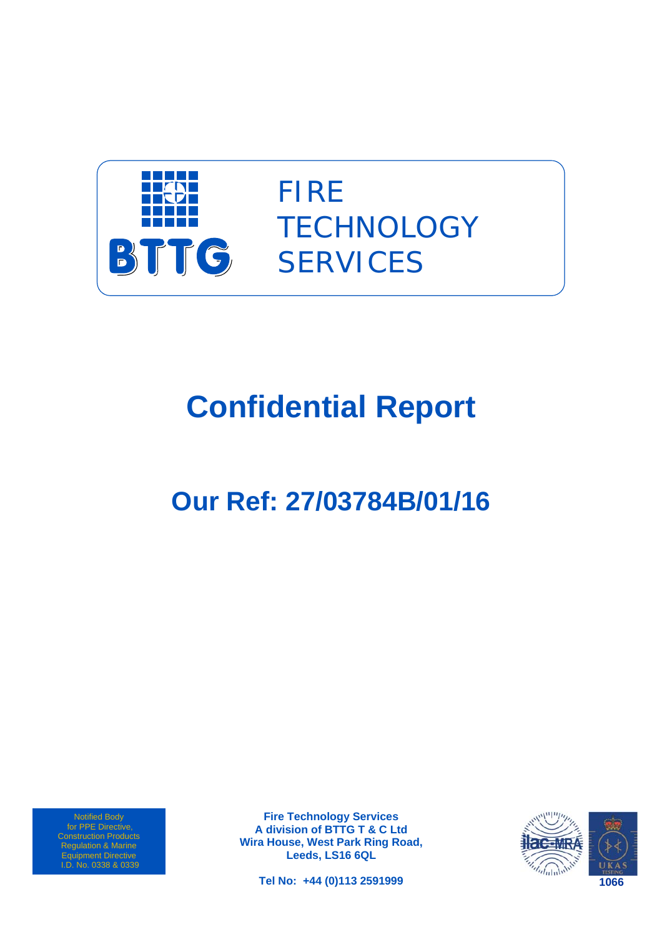

FIRE **TECHNOLOGY SERVICES** 

# **Confidential Report**

# **Our Ref: 27/03784B/01/16**

Notified Body for PPE Directive, Regulation & Marine Equipment Directive I.D. No. 0338 & 0339

**Fire Technology Services A division of BTTG T & C Ltd Wira House, West Park Ring Road, Leeds, LS16 6QL** 

**Tel No: +44 (0)113 2591999** 

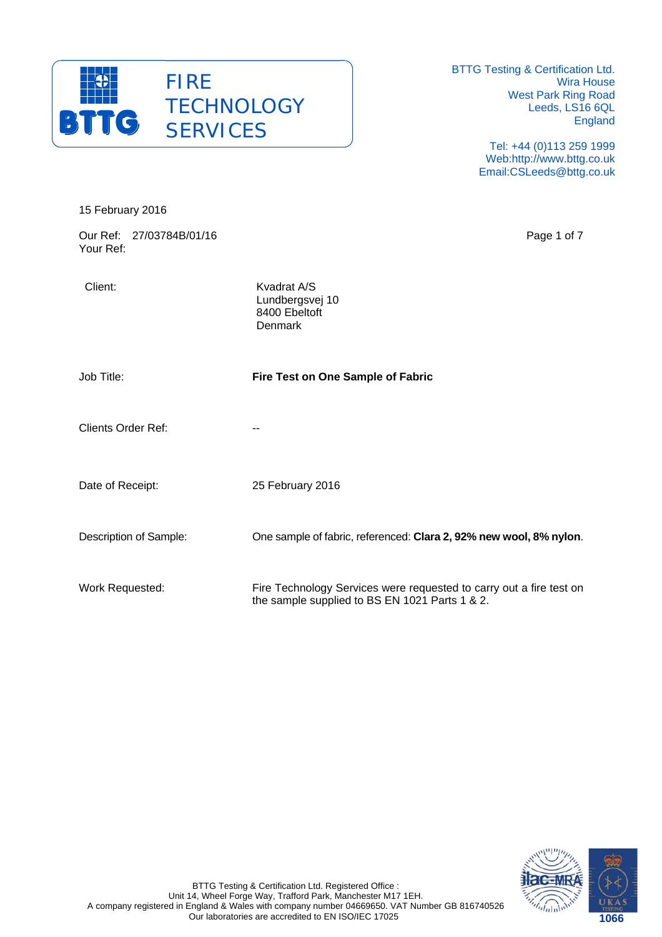

15 February 2016

BTTG Testing & Certification Ltd. Wira House West Park Ring Road Leeds, LS16 6QL England

> Tel: +44 (0)113 259 1999 Web:http://www.bttg.co.uk Email:CSLeeds@bttg.co.uk

| Our Ref: 27/03784B/01/16<br>Your Ref: |                                                                                                                       | Page 1 of 7 |
|---------------------------------------|-----------------------------------------------------------------------------------------------------------------------|-------------|
| Client:                               | Kvadrat A/S<br>Lundbergsvej 10<br>8400 Ebeltoft<br>Denmark                                                            |             |
| Job Title:                            | Fire Test on One Sample of Fabric                                                                                     |             |
| <b>Clients Order Ref:</b>             | --                                                                                                                    |             |
| Date of Receipt:                      | 25 February 2016                                                                                                      |             |
| Description of Sample:                | One sample of fabric, referenced: Clara 2, 92% new wool, 8% nylon.                                                    |             |
| Work Requested:                       | Fire Technology Services were requested to carry out a fire test on<br>the sample supplied to BS EN 1021 Parts 1 & 2. |             |

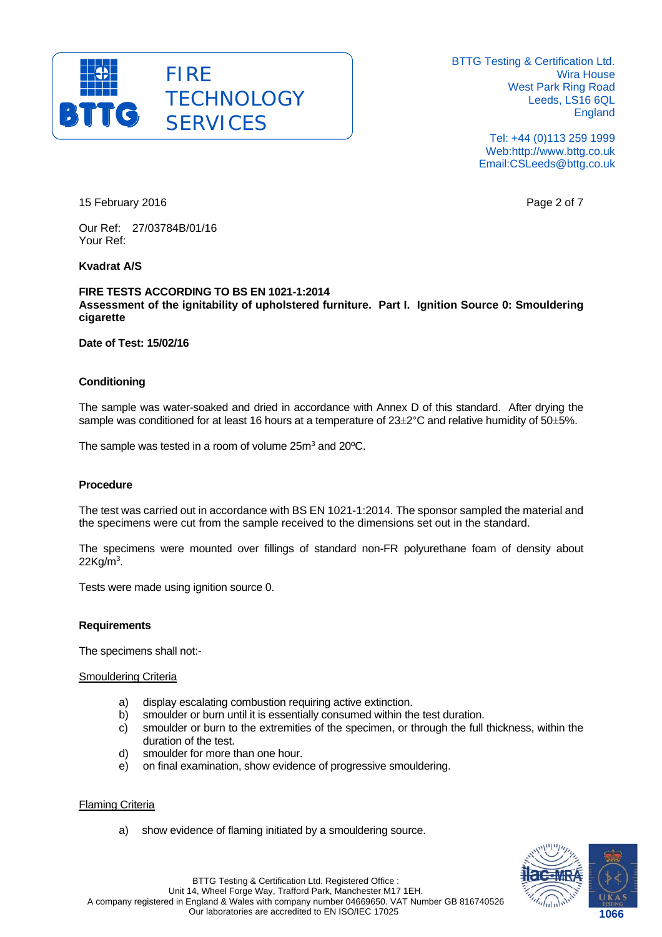

> Tel: +44 (0)113 259 1999 Web:http://www.bttg.co.uk Email:CSLeeds@bttg.co.uk

15 February 2016 **Page 2 of 7** and 2016

Our Ref: 27/03784B/01/16 Your Ref:

# **Kvadrat A/S**

#### **FIRE TESTS ACCORDING TO BS EN 1021-1:2014 Assessment of the ignitability of upholstered furniture. Part I. Ignition Source 0: Smouldering cigarette**

**Date of Test: 15/02/16** 

### **Conditioning**

The sample was water-soaked and dried in accordance with Annex D of this standard. After drying the sample was conditioned for at least 16 hours at a temperature of  $23\pm2\degree$ C and relative humidity of  $50\pm5\%$ .

The sample was tested in a room of volume 25m<sup>3</sup> and 20<sup>o</sup>C.

### **Procedure**

The test was carried out in accordance with BS EN 1021-1:2014. The sponsor sampled the material and the specimens were cut from the sample received to the dimensions set out in the standard.

The specimens were mounted over fillings of standard non-FR polyurethane foam of density about  $22$ Kg/m $^3$ .

Tests were made using ignition source 0.

#### **Requirements**

The specimens shall not:-

#### Smouldering Criteria

- a) display escalating combustion requiring active extinction.
- b) smoulder or burn until it is essentially consumed within the test duration.
- c) smoulder or burn to the extremities of the specimen, or through the full thickness, within the duration of the test.
- d) smoulder for more than one hour.
- e) on final examination, show evidence of progressive smouldering.

# Flaming Criteria

a) show evidence of flaming initiated by a smouldering source.

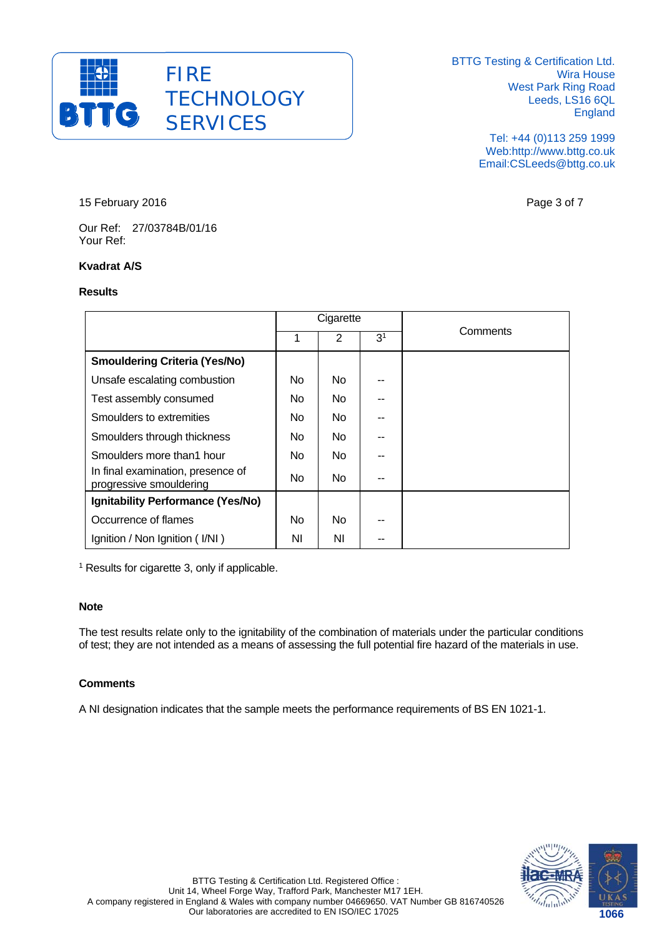

> Tel: +44 (0)113 259 1999 Web:http://www.bttg.co.uk Email:CSLeeds@bttg.co.uk

15 February 2016 **Page 3 of 7** 

Our Ref: 27/03784B/01/16 Your Ref:

# **Kvadrat A/S**

#### **Results**

|                                                              | Cigarette |     |                |          |  |
|--------------------------------------------------------------|-----------|-----|----------------|----------|--|
|                                                              | 1         | 2   | 3 <sup>1</sup> | Comments |  |
| <b>Smouldering Criteria (Yes/No)</b>                         |           |     |                |          |  |
| Unsafe escalating combustion                                 | No.       | No. |                |          |  |
| Test assembly consumed                                       | No.       | No. |                |          |  |
| Smoulders to extremities                                     | No.       | No. |                |          |  |
| Smoulders through thickness                                  | No.       | No. |                |          |  |
| Smoulders more than1 hour                                    | No.       | No. |                |          |  |
| In final examination, presence of<br>progressive smouldering | No.       | No. |                |          |  |
| Ignitability Performance (Yes/No)                            |           |     |                |          |  |
| Occurrence of flames                                         | No        | No. |                |          |  |
| Ignition / Non Ignition (I/NI)                               | ΝI        | ΝI  |                |          |  |

<sup>1</sup> Results for cigarette 3, only if applicable.

### **Note**

The test results relate only to the ignitability of the combination of materials under the particular conditions of test; they are not intended as a means of assessing the full potential fire hazard of the materials in use.

# **Comments**

A NI designation indicates that the sample meets the performance requirements of BS EN 1021-1.

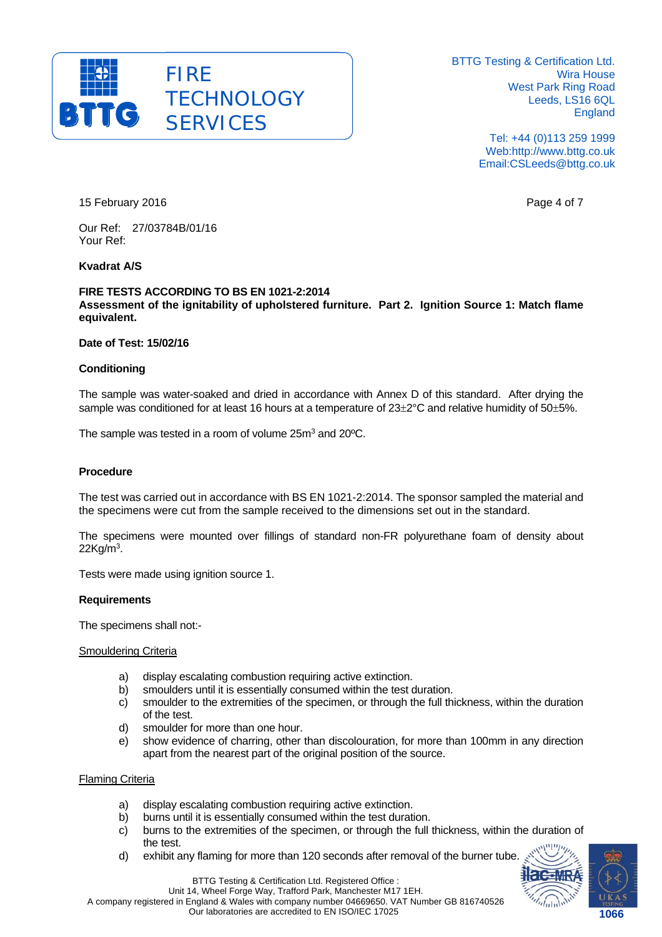

> Tel: +44 (0)113 259 1999 Web:http://www.bttg.co.uk Email:CSLeeds@bttg.co.uk

15 February 2016 **Page 11 Automobile 12 February 2016 Page 4 of 7** 

Our Ref: 27/03784B/01/16 Your Ref:

# **Kvadrat A/S**

#### **FIRE TESTS ACCORDING TO BS EN 1021-2:2014 Assessment of the ignitability of upholstered furniture. Part 2. Ignition Source 1: Match flame equivalent.**

#### **Date of Test: 15/02/16**

#### **Conditioning**

The sample was water-soaked and dried in accordance with Annex D of this standard. After drying the sample was conditioned for at least 16 hours at a temperature of  $23\pm2\degree$ C and relative humidity of  $50\pm5\%$ .

The sample was tested in a room of volume 25m<sup>3</sup> and 20<sup>o</sup>C.

#### **Procedure**

The test was carried out in accordance with BS EN 1021-2:2014. The sponsor sampled the material and the specimens were cut from the sample received to the dimensions set out in the standard.

The specimens were mounted over fillings of standard non-FR polyurethane foam of density about  $22$ Kg/m $^3$ .

Tests were made using ignition source 1.

#### **Requirements**

The specimens shall not:-

#### Smouldering Criteria

- a) display escalating combustion requiring active extinction.
- b) smoulders until it is essentially consumed within the test duration.
- c) smoulder to the extremities of the specimen, or through the full thickness, within the duration of the test.
- d) smoulder for more than one hour.
- e) show evidence of charring, other than discolouration, for more than 100mm in any direction apart from the nearest part of the original position of the source.

#### Flaming Criteria

- a) display escalating combustion requiring active extinction.
- b) burns until it is essentially consumed within the test duration.
- c) burns to the extremities of the specimen, or through the full thickness, within the duration of the test.
- d) exhibit any flaming for more than 120 seconds after removal of the burner tube.



**1066 1066** 



Unit 14, Wheel Forge Way, Trafford Park, Manchester M17 1EH. A company registered in England & Wales with company number 04669650. VAT Number GB 816740526

Our laboratories are accredited to EN ISO/IEC 17025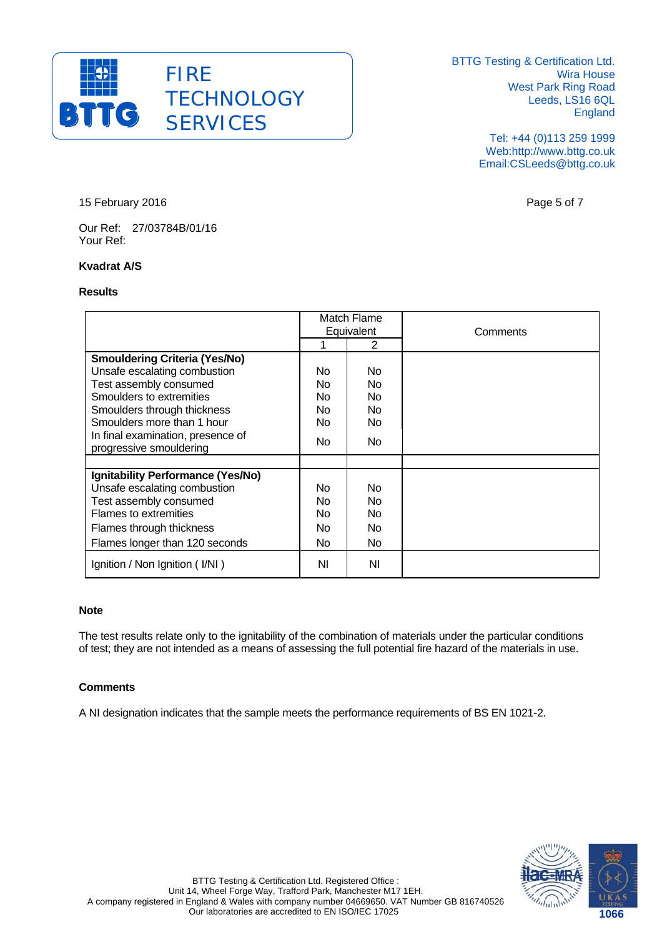

> Tel: +44 (0)113 259 1999 Web:http://www.bttg.co.uk Email:CSLeeds@bttg.co.uk

15 February 2016 **Page 5 of 7** 

Our Ref: 27/03784B/01/16 Your Ref:

# **Kvadrat A/S**

#### **Results**

|                                                              | Match Flame<br>Equivalent |     | Comments |
|--------------------------------------------------------------|---------------------------|-----|----------|
|                                                              |                           | 2   |          |
| <b>Smouldering Criteria (Yes/No)</b>                         |                           |     |          |
| Unsafe escalating combustion                                 | No.                       | No  |          |
| Test assembly consumed                                       | No.                       | No  |          |
| Smoulders to extremities                                     | <b>No</b>                 | No  |          |
| Smoulders through thickness                                  | No.                       | No  |          |
| Smoulders more than 1 hour                                   | No.                       | No  |          |
| In final examination, presence of<br>progressive smouldering | No.                       | No. |          |
|                                                              |                           |     |          |
| Ignitability Performance (Yes/No)                            |                           |     |          |
| Unsafe escalating combustion                                 | No.                       | No  |          |
| Test assembly consumed                                       | No.                       | No  |          |
| <b>Flames to extremities</b>                                 | <b>No</b>                 | No. |          |
| Flames through thickness                                     | N <sub>0</sub>            | No. |          |
| Flames longer than 120 seconds                               | No.                       | No. |          |
| Ignition / Non Ignition (I/NI)                               | ΝI                        | ΝI  |          |

# **Note**

The test results relate only to the ignitability of the combination of materials under the particular conditions of test; they are not intended as a means of assessing the full potential fire hazard of the materials in use.

#### **Comments**

A NI designation indicates that the sample meets the performance requirements of BS EN 1021-2.

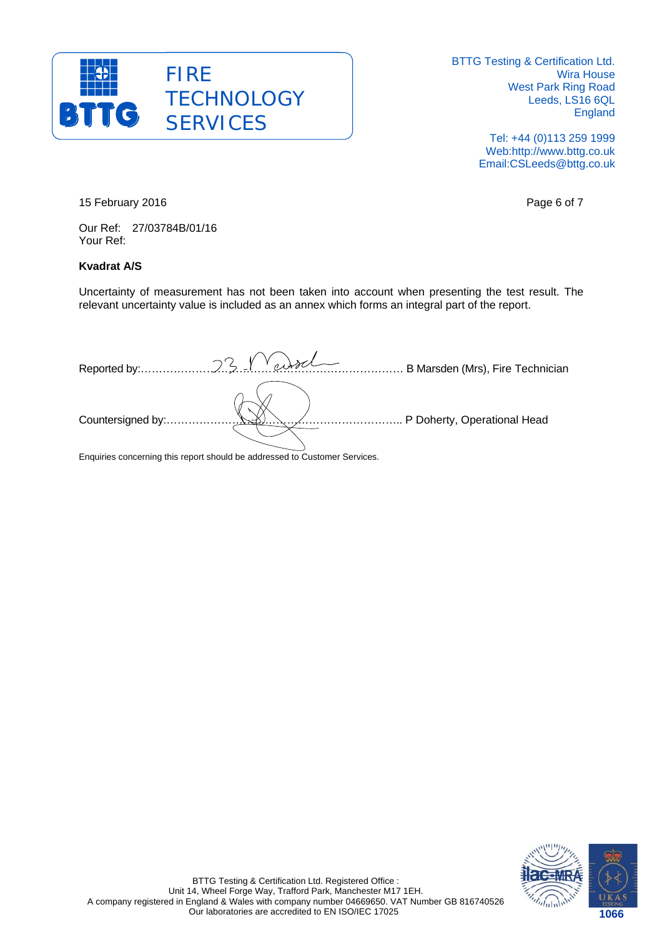

> Tel: +44 (0)113 259 1999 Web:http://www.bttg.co.uk Email:CSLeeds@bttg.co.uk

15 February 2016 **Page 6 of 7** 

Our Ref: 27/03784B/01/16 Your Ref:

# **Kvadrat A/S**

Uncertainty of measurement has not been taken into account when presenting the test result. The relevant uncertainty value is included as an annex which forms an integral part of the report.

|                   | B Marsden (Mrs), Fire Technician |
|-------------------|----------------------------------|
| Countersigned by: | P Doherty, Operational Head      |

Enquiries concerning this report should be addressed to Customer Services.